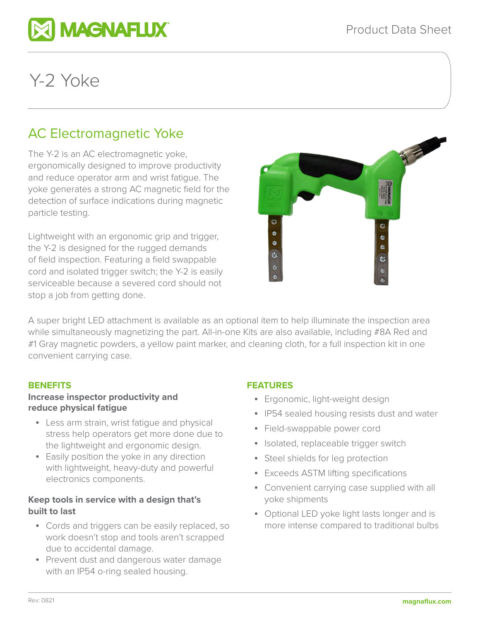

# Y-2 Yoke

# AC Electromagnetic Yoke

The Y-2 is an AC electromagnetic yoke, ergonomically designed to improve productivity and reduce operator arm and wrist fatigue. The yoke generates a strong AC magnetic field for the detection of surface indications during magnetic particle testing.

Lightweight with an ergonomic grip and trigger, the Y-2 is designed for the rugged demands of field inspection. Featuring a field swappable cord and isolated trigger switch; the Y-2 is easily serviceable because a severed cord should not stop a job from getting done.



A super bright LED attachment is available as an optional item to help illuminate the inspection area while simultaneously magnetizing the part. All-in-one Kits are also available, including #8A Red and #1 Gray magnetic powders, a yellow paint marker, and cleaning cloth, for a full inspection kit in one convenient carrying case.

# **BENEFITS**

# **Increase inspector productivity and reduce physical fatigue**

- Less arm strain, wrist fatigue and physical stress help operators get more done due to the lightweight and ergonomic design.
- Easily position the yoke in any direction with lightweight, heavy-duty and powerful electronics components.

# **Keep tools in service with a design that's built to last**

- Cords and triggers can be easily replaced, so work doesn't stop and tools aren't scrapped due to accidental damage.
- Prevent dust and dangerous water damage with an IP54 o-ring sealed housing.

# **FEATURES**

- Ergonomic, light-weight design
- IP54 sealed housing resists dust and water
- Field-swappable power cord
- Isolated, replaceable trigger switch
- Steel shields for leg protection
- Exceeds ASTM lifting specifications
- Convenient carrying case supplied with all yoke shipments
- Optional LED yoke light lasts longer and is more intense compared to traditional bulbs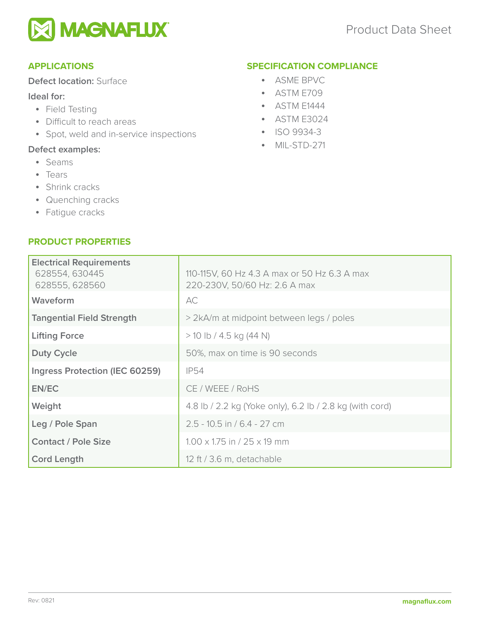

# **APPLICATIONS**

# **Defect location:** Surface

# **Ideal for:**

- Field Testing
- Difficult to reach areas
- Spot, weld and in-service inspections

# **Defect examples:**

- Seams
- Tears
- Shrink cracks
- Quenching cracks
- Fatigue cracks

# **PRODUCT PROPERTIES**

#### **SPECIFICATION COMPLIANCE**

- ASME BPVC
- ASTM E709
- ASTM E1444
- ASTM E3024
- ISO 9934-3
- MIL-STD-271

| <b>Electrical Requirements</b><br>628554, 630445<br>628555, 628560 | 110-115V, 60 Hz 4.3 A max or 50 Hz 6.3 A max<br>220-230V, 50/60 Hz: 2.6 A max |  |
|--------------------------------------------------------------------|-------------------------------------------------------------------------------|--|
| Waveform                                                           | AC                                                                            |  |
| <b>Tangential Field Strength</b>                                   | > 2kA/m at midpoint between legs / poles                                      |  |
| <b>Lifting Force</b>                                               | $>$ 10 lb / 4.5 kg (44 N)                                                     |  |
| <b>Duty Cycle</b>                                                  | 50%, max on time is 90 seconds                                                |  |
| Ingress Protection (IEC 60259)                                     | <b>IP54</b>                                                                   |  |
| EN/EC                                                              | CE / WEEE / RoHS                                                              |  |
| Weight                                                             | 4.8 lb / 2.2 kg (Yoke only), 6.2 lb / 2.8 kg (with cord)                      |  |
| Leg / Pole Span                                                    | $2.5 - 10.5$ in / 6.4 - 27 cm                                                 |  |
| <b>Contact / Pole Size</b>                                         | $1.00 \times 1.75$ in / 25 $\times$ 19 mm                                     |  |
| <b>Cord Length</b>                                                 | 12 ft / 3.6 m, detachable                                                     |  |